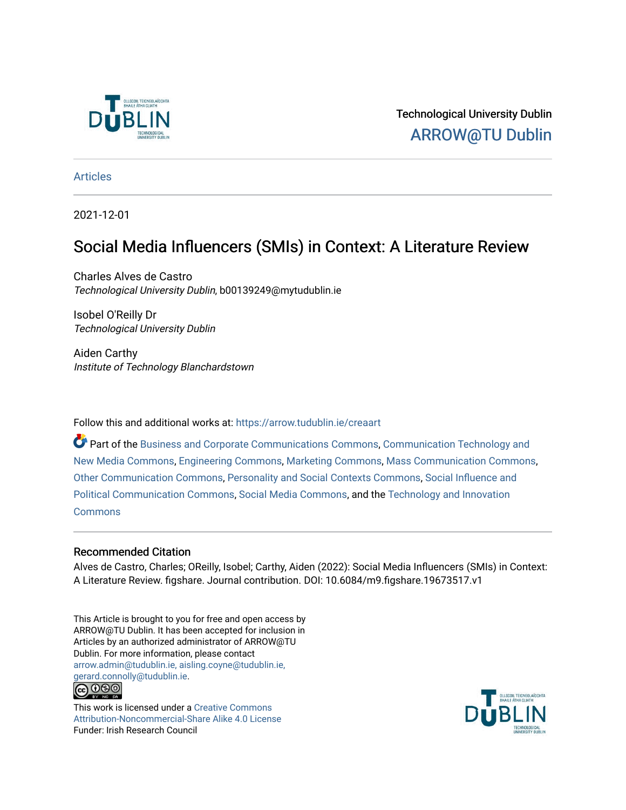

Technological University Dublin [ARROW@TU Dublin](https://arrow.tudublin.ie/) 

[Articles](https://arrow.tudublin.ie/creaart)

2021-12-01

# Social Media Influencers (SMIs) in Context: A Literature Review

Charles Alves de Castro Technological University Dublin, b00139249@mytudublin.ie

Isobel O'Reilly Dr Technological University Dublin

Aiden Carthy Institute of Technology Blanchardstown

Follow this and additional works at: [https://arrow.tudublin.ie/creaart](https://arrow.tudublin.ie/creaart?utm_source=arrow.tudublin.ie%2Fcreaart%2F69&utm_medium=PDF&utm_campaign=PDFCoverPages) 

Part of the [Business and Corporate Communications Commons](https://network.bepress.com/hgg/discipline/627?utm_source=arrow.tudublin.ie%2Fcreaart%2F69&utm_medium=PDF&utm_campaign=PDFCoverPages), [Communication Technology and](https://network.bepress.com/hgg/discipline/327?utm_source=arrow.tudublin.ie%2Fcreaart%2F69&utm_medium=PDF&utm_campaign=PDFCoverPages) [New Media Commons,](https://network.bepress.com/hgg/discipline/327?utm_source=arrow.tudublin.ie%2Fcreaart%2F69&utm_medium=PDF&utm_campaign=PDFCoverPages) [Engineering Commons,](https://network.bepress.com/hgg/discipline/217?utm_source=arrow.tudublin.ie%2Fcreaart%2F69&utm_medium=PDF&utm_campaign=PDFCoverPages) [Marketing Commons,](https://network.bepress.com/hgg/discipline/638?utm_source=arrow.tudublin.ie%2Fcreaart%2F69&utm_medium=PDF&utm_campaign=PDFCoverPages) [Mass Communication Commons](https://network.bepress.com/hgg/discipline/334?utm_source=arrow.tudublin.ie%2Fcreaart%2F69&utm_medium=PDF&utm_campaign=PDFCoverPages), [Other Communication Commons](https://network.bepress.com/hgg/discipline/339?utm_source=arrow.tudublin.ie%2Fcreaart%2F69&utm_medium=PDF&utm_campaign=PDFCoverPages), [Personality and Social Contexts Commons,](https://network.bepress.com/hgg/discipline/413?utm_source=arrow.tudublin.ie%2Fcreaart%2F69&utm_medium=PDF&utm_campaign=PDFCoverPages) [Social Influence and](https://network.bepress.com/hgg/discipline/337?utm_source=arrow.tudublin.ie%2Fcreaart%2F69&utm_medium=PDF&utm_campaign=PDFCoverPages)  [Political Communication Commons](https://network.bepress.com/hgg/discipline/337?utm_source=arrow.tudublin.ie%2Fcreaart%2F69&utm_medium=PDF&utm_campaign=PDFCoverPages), [Social Media Commons,](https://network.bepress.com/hgg/discipline/1249?utm_source=arrow.tudublin.ie%2Fcreaart%2F69&utm_medium=PDF&utm_campaign=PDFCoverPages) and the [Technology and Innovation](https://network.bepress.com/hgg/discipline/644?utm_source=arrow.tudublin.ie%2Fcreaart%2F69&utm_medium=PDF&utm_campaign=PDFCoverPages)  [Commons](https://network.bepress.com/hgg/discipline/644?utm_source=arrow.tudublin.ie%2Fcreaart%2F69&utm_medium=PDF&utm_campaign=PDFCoverPages)

# Recommended Citation

Alves de Castro, Charles; OReilly, Isobel; Carthy, Aiden (2022): Social Media Influencers (SMIs) in Context: A Literature Review. figshare. Journal contribution. DOI: 10.6084/m9.figshare.19673517.v1

This Article is brought to you for free and open access by ARROW@TU Dublin. It has been accepted for inclusion in Articles by an authorized administrator of ARROW@TU Dublin. For more information, please contact [arrow.admin@tudublin.ie, aisling.coyne@tudublin.ie,](mailto:arrow.admin@tudublin.ie,%20aisling.coyne@tudublin.ie,%20gerard.connolly@tudublin.ie)  [gerard.connolly@tudublin.ie](mailto:arrow.admin@tudublin.ie,%20aisling.coyne@tudublin.ie,%20gerard.connolly@tudublin.ie). <u> @ ලෙම</u>

This work is licensed under a [Creative Commons](http://creativecommons.org/licenses/by-nc-sa/4.0/) [Attribution-Noncommercial-Share Alike 4.0 License](http://creativecommons.org/licenses/by-nc-sa/4.0/) Funder: Irish Research Council

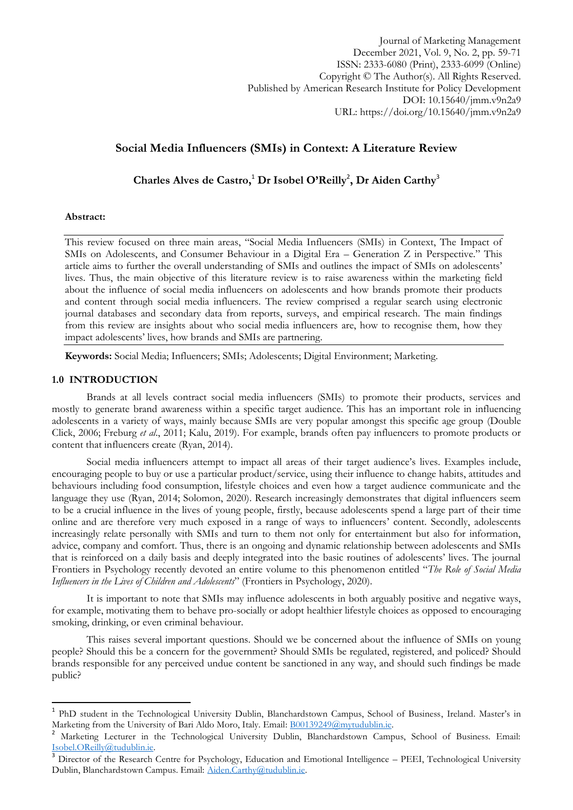Journal of Marketing Management December 2021, Vol. 9, No. 2, pp. 59-71 ISSN: 2333-6080 (Print), 2333-6099 (Online) Copyright © The Author(s). All Rights Reserved. Published by American Research Institute for Policy Development DOI: 10.15640/jmm.v9n2a9 URL: https://doi.org/10.15640/jmm.v9n2a9

# **Social Media Influencers (SMIs) in Context: A Literature Review**

Charles Alves de Castro,<sup>1</sup> Dr Isobel O'Reilly<sup>2</sup>, Dr Aiden Carthy<sup>3</sup>

#### **Abstract:**

This review focused on three main areas, "Social Media Influencers (SMIs) in Context, The Impact of SMIs on Adolescents, and Consumer Behaviour in a Digital Era – Generation Z in Perspective." This article aims to further the overall understanding of SMIs and outlines the impact of SMIs on adolescents' lives. Thus, the main objective of this literature review is to raise awareness within the marketing field about the influence of social media influencers on adolescents and how brands promote their products and content through social media influencers. The review comprised a regular search using electronic journal databases and secondary data from reports, surveys, and empirical research. The main findings from this review are insights about who social media influencers are, how to recognise them, how they impact adolescents' lives, how brands and SMIs are partnering.

**Keywords:** Social Media; Influencers; SMIs; Adolescents; Digital Environment; Marketing.

# **1.0 INTRODUCTION**

**.** 

Brands at all levels contract social media influencers (SMIs) to promote their products, services and mostly to generate brand awareness within a specific target audience. This has an important role in influencing adolescents in a variety of ways, mainly because SMIs are very popular amongst this specific age group (Double Click, 2006; Freburg *et al*., 2011; Kalu, 2019). For example, brands often pay influencers to promote products or content that influencers create (Ryan, 2014).

Social media influencers attempt to impact all areas of their target audience's lives. Examples include, encouraging people to buy or use a particular product/service, using their influence to change habits, attitudes and behaviours including food consumption, lifestyle choices and even how a target audience communicate and the language they use (Ryan, 2014; Solomon, 2020). Research increasingly demonstrates that digital influencers seem to be a crucial influence in the lives of young people, firstly, because adolescents spend a large part of their time online and are therefore very much exposed in a range of ways to influencers' content. Secondly, adolescents increasingly relate personally with SMIs and turn to them not only for entertainment but also for information, advice, company and comfort. Thus, there is an ongoing and dynamic relationship between adolescents and SMIs that is reinforced on a daily basis and deeply integrated into the basic routines of adolescents' lives. The journal Frontiers in Psychology recently devoted an entire volume to this phenomenon entitled "The Role of Social Media *Influencers in the Lives of Children and Adolescents*" (Frontiers in Psychology, 2020).

It is important to note that SMIs may influence adolescents in both arguably positive and negative ways, for example, motivating them to behave pro-socially or adopt healthier lifestyle choices as opposed to encouraging smoking, drinking, or even criminal behaviour.

This raises several important questions. Should we be concerned about the influence of SMIs on young people? Should this be a concern for the government? Should SMIs be regulated, registered, and policed? Should brands responsible for any perceived undue content be sanctioned in any way, and should such findings be made public?

<sup>1</sup> PhD student in the Technological University Dublin, Blanchardstown Campus, School of Business, Ireland. Master's in Marketing from the University of Bari Aldo Moro, Italy. Email: [B00139249@mytudublin.ie.](mailto:B00139249@mytudublin.ie)

<sup>2</sup> Marketing Lecturer in the Technological University Dublin, Blanchardstown Campus, School of Business. Email: [Isobel.OReilly@tudublin.ie.](mailto:Isobel.OReilly@tudublin.ie)

<sup>3</sup> Director of the Research Centre for Psychology, Education and Emotional Intelligence – PEEI, Technological University Dublin, Blanchardstown Campus. Email: [Aiden.Carthy@tudublin.ie.](mailto:Aiden.Carthy@tudublin.ie)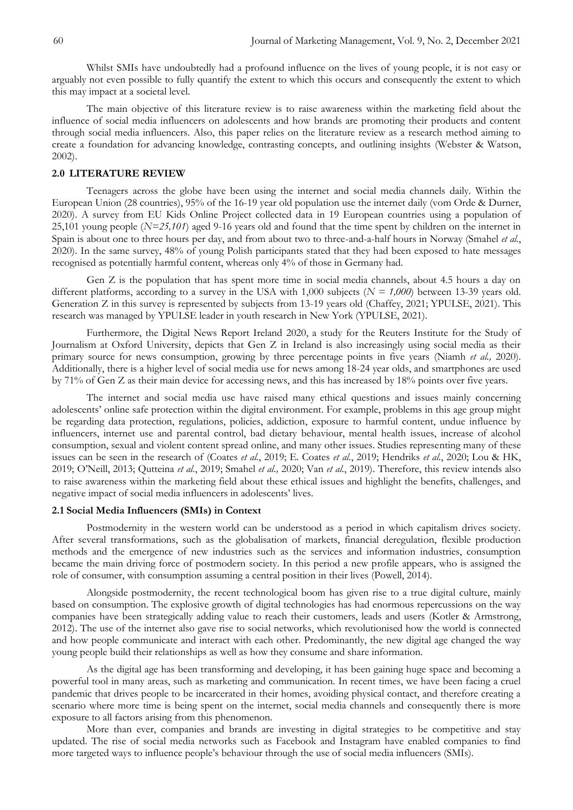Whilst SMIs have undoubtedly had a profound influence on the lives of young people, it is not easy or arguably not even possible to fully quantify the extent to which this occurs and consequently the extent to which this may impact at a societal level.

The main objective of this literature review is to raise awareness within the marketing field about the influence of social media influencers on adolescents and how brands are promoting their products and content through social media influencers. Also, this paper relies on the literature review as a research method aiming to create a foundation for advancing knowledge, contrasting concepts, and outlining insights (Webster & Watson, 2002).

## **2.0 LITERATURE REVIEW**

Teenagers across the globe have been using the internet and social media channels daily. Within the European Union (28 countries), 95% of the 16-19 year old population use the internet daily (vom Orde & Durner, 2020). A survey from EU Kids Online Project collected data in 19 European countries using a population of 25,101 young people (*N=25,101*) aged 9-16 years old and found that the time spent by children on the internet in Spain is about one to three hours per day, and from about two to three-and-a-half hours in Norway (Smahel *et al.*, 2020). In the same survey, 48% of young Polish participants stated that they had been exposed to hate messages recognised as potentially harmful content, whereas only 4% of those in Germany had.

Gen Z is the population that has spent more time in social media channels, about 4.5 hours a day on different platforms, according to a survey in the USA with 1,000 subjects (*N = 1,000*) between 13-39 years old. Generation Z in this survey is represented by subjects from 13-19 years old (Chaffey, 2021; YPULSE, 2021). This research was managed by YPULSE leader in youth research in New York (YPULSE, 2021).

Furthermore, the Digital News Report Ireland 2020, a study for the Reuters Institute for the Study of Journalism at Oxford University, depicts that Gen Z in Ireland is also increasingly using social media as their primary source for news consumption, growing by three percentage points in five years (Niamh *et al.,* 2020). Additionally, there is a higher level of social media use for news among 18-24 year olds, and smartphones are used by 71% of Gen Z as their main device for accessing news, and this has increased by 18% points over five years.

The internet and social media use have raised many ethical questions and issues mainly concerning adolescents' online safe protection within the digital environment. For example, problems in this age group might be regarding data protection, regulations, policies, addiction, exposure to harmful content, undue influence by influencers, internet use and parental control, bad dietary behaviour, mental health issues, increase of alcohol consumption, sexual and violent content spread online, and many other issues. Studies representing many of these issues can be seen in the research of (Coates *et al.*, 2019; E. Coates *et al.*, 2019; Hendriks *et al.*, 2020; Lou & HK, 2019; O'Neill, 2013; Qutteina *et al*., 2019; Smahel *et al.,* 2020; Van *et al.*, 2019). Therefore, this review intends also to raise awareness within the marketing field about these ethical issues and highlight the benefits, challenges, and negative impact of social media influencers in adolescents' lives.

### **2.1 Social Media Influencers (SMIs) in Context**

Postmodernity in the western world can be understood as a period in which capitalism drives society. After several transformations, such as the globalisation of markets, financial deregulation, flexible production methods and the emergence of new industries such as the services and information industries, consumption became the main driving force of postmodern society. In this period a new profile appears, who is assigned the role of consumer, with consumption assuming a central position in their lives (Powell, 2014).

Alongside postmodernity, the recent technological boom has given rise to a true digital culture, mainly based on consumption. The explosive growth of digital technologies has had enormous repercussions on the way companies have been strategically adding value to reach their customers, leads and users (Kotler & Armstrong, 2012). The use of the internet also gave rise to social networks, which revolutionised how the world is connected and how people communicate and interact with each other. Predominantly, the new digital age changed the way young people build their relationships as well as how they consume and share information.

As the digital age has been transforming and developing, it has been gaining huge space and becoming a powerful tool in many areas, such as marketing and communication. In recent times, we have been facing a cruel pandemic that drives people to be incarcerated in their homes, avoiding physical contact, and therefore creating a scenario where more time is being spent on the internet, social media channels and consequently there is more exposure to all factors arising from this phenomenon.

More than ever, companies and brands are investing in digital strategies to be competitive and stay updated. The rise of social media networks such as Facebook and Instagram have enabled companies to find more targeted ways to influence people's behaviour through the use of social media influencers (SMIs).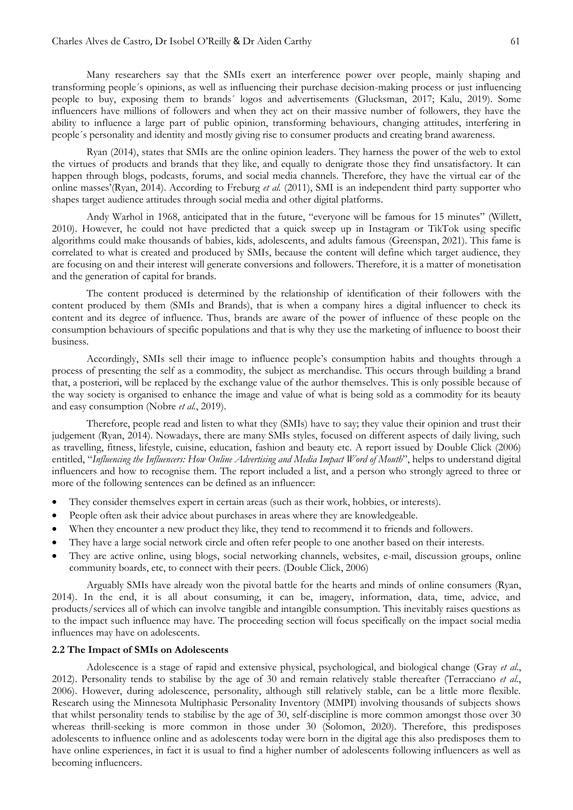Many researchers say that the SMIs exert an interference power over people, mainly shaping and transforming people´s opinions, as well as influencing their purchase decision-making process or just influencing people to buy, exposing them to brands´ logos and advertisements (Glucksman, 2017; Kalu, 2019). Some influencers have millions of followers and when they act on their massive number of followers, they have the ability to influence a large part of public opinion, transforming behaviours, changing attitudes, interfering in people´s personality and identity and mostly giving rise to consumer products and creating brand awareness.

Ryan (2014), states that SMIs are the online opinion leaders. They harness the power of the web to extol the virtues of products and brands that they like, and equally to denigrate those they find unsatisfactory. It can happen through blogs, podcasts, forums, and social media channels. Therefore, they have the virtual ear of the online masses'(Ryan, 2014). According to Freburg *et al.* (2011), SMI is an independent third party supporter who shapes target audience attitudes through social media and other digital platforms.

Andy Warhol in 1968, anticipated that in the future, "everyone will be famous for 15 minutes" (Willett, 2010). However, he could not have predicted that a quick sweep up in Instagram or TikTok using specific algorithms could make thousands of babies, kids, adolescents, and adults famous (Greenspan, 2021). This fame is correlated to what is created and produced by SMIs, because the content will define which target audience, they are focusing on and their interest will generate conversions and followers. Therefore, it is a matter of monetisation and the generation of capital for brands.

The content produced is determined by the relationship of identification of their followers with the content produced by them (SMIs and Brands), that is when a company hires a digital influencer to check its content and its degree of influence. Thus, brands are aware of the power of influence of these people on the consumption behaviours of specific populations and that is why they use the marketing of influence to boost their business.

Accordingly, SMIs sell their image to influence people's consumption habits and thoughts through a process of presenting the self as a commodity, the subject as merchandise. This occurs through building a brand that, a posteriori, will be replaced by the exchange value of the author themselves. This is only possible because of the way society is organised to enhance the image and value of what is being sold as a commodity for its beauty and easy consumption (Nobre *et al.*, 2019).

Therefore, people read and listen to what they (SMIs) have to say; they value their opinion and trust their judgement (Ryan, 2014). Nowadays, there are many SMIs styles, focused on different aspects of daily living, such as travelling, fitness, lifestyle, cuisine, education, fashion and beauty etc. A report issued by Double Click (2006) entitled, "Influencing the Influencers: How Online Advertising and Media Impact Word of Mouth", helps to understand digital influencers and how to recognise them. The report included a list, and a person who strongly agreed to three or more of the following sentences can be defined as an influencer:

- They consider themselves expert in certain areas (such as their work, hobbies, or interests).
- People often ask their advice about purchases in areas where they are knowledgeable.
- When they encounter a new product they like, they tend to recommend it to friends and followers.
- They have a large social network circle and often refer people to one another based on their interests.
- They are active online, using blogs, social networking channels, websites, e-mail, discussion groups, online community boards, etc, to connect with their peers. (Double Click, 2006)

Arguably SMIs have already won the pivotal battle for the hearts and minds of online consumers (Ryan, 2014). In the end, it is all about consuming, it can be, imagery, information, data, time, advice, and products/services all of which can involve tangible and intangible consumption. This inevitably raises questions as to the impact such influence may have. The proceeding section will focus specifically on the impact social media influences may have on adolescents.

#### **2.2 The Impact of SMIs on Adolescents**

Adolescence is a stage of rapid and extensive physical, psychological, and biological change (Gray *et al*., 2012). Personality tends to stabilise by the age of 30 and remain relatively stable thereafter (Terracciano *et al*., 2006). However, during adolescence, personality, although still relatively stable, can be a little more flexible. Research using the Minnesota Multiphasic Personality Inventory (MMPI) involving thousands of subjects shows that whilst personality tends to stabilise by the age of 30, self-discipline is more common amongst those over 30 whereas thrill-seeking is more common in those under 30 (Solomon, 2020). Therefore, this predisposes adolescents to influence online and as adolescents today were born in the digital age this also predisposes them to have online experiences, in fact it is usual to find a higher number of adolescents following influencers as well as becoming influencers.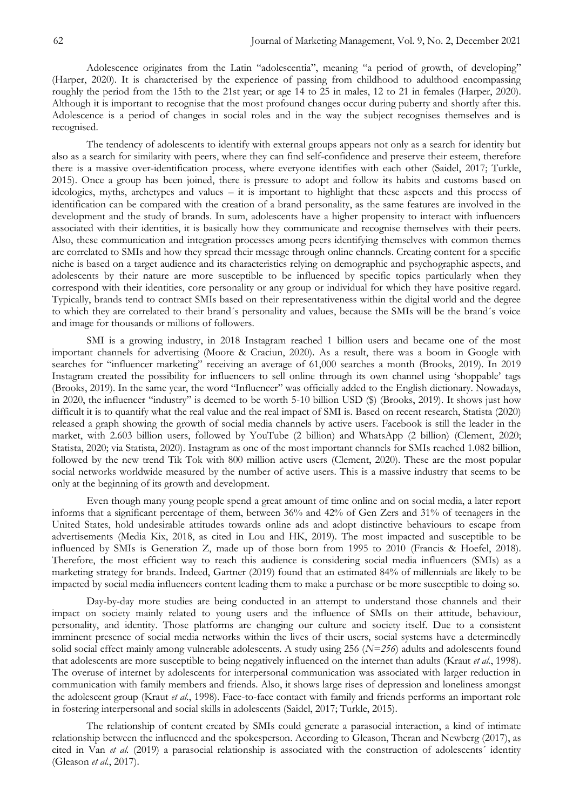Adolescence originates from the Latin "adolescentia", meaning "a period of growth, of developing" (Harper, 2020). It is characterised by the experience of passing from childhood to adulthood encompassing roughly the period from the 15th to the 21st year; or age 14 to 25 in males, 12 to 21 in females (Harper, 2020). Although it is important to recognise that the most profound changes occur during puberty and shortly after this. Adolescence is a period of changes in social roles and in the way the subject recognises themselves and is recognised.

The tendency of adolescents to identify with external groups appears not only as a search for identity but also as a search for similarity with peers, where they can find self-confidence and preserve their esteem, therefore there is a massive over-identification process, where everyone identifies with each other (Saidel, 2017; Turkle, 2015). Once a group has been joined, there is pressure to adopt and follow its habits and customs based on ideologies, myths, archetypes and values – it is important to highlight that these aspects and this process of identification can be compared with the creation of a brand personality, as the same features are involved in the development and the study of brands. In sum, adolescents have a higher propensity to interact with influencers associated with their identities, it is basically how they communicate and recognise themselves with their peers. Also, these communication and integration processes among peers identifying themselves with common themes are correlated to SMIs and how they spread their message through online channels. Creating content for a specific niche is based on a target audience and its characteristics relying on demographic and psychographic aspects, and adolescents by their nature are more susceptible to be influenced by specific topics particularly when they correspond with their identities, core personality or any group or individual for which they have positive regard. Typically, brands tend to contract SMIs based on their representativeness within the digital world and the degree to which they are correlated to their brand´s personality and values, because the SMIs will be the brand´s voice and image for thousands or millions of followers.

SMI is a growing industry, in 2018 Instagram reached 1 billion users and became one of the most important channels for advertising (Moore & Craciun, 2020). As a result, there was a boom in Google with searches for "influencer marketing" receiving an average of 61,000 searches a month (Brooks, 2019). In 2019 Instagram created the possibility for influencers to sell online through its own channel using 'shoppable' tags (Brooks, 2019). In the same year, the word "Influencer" was officially added to the English dictionary. Nowadays, in 2020, the influencer "industry" is deemed to be worth 5-10 billion USD (\$) (Brooks, 2019). It shows just how difficult it is to quantify what the real value and the real impact of SMI is. Based on recent research, Statista (2020) released a graph showing the growth of social media channels by active users. Facebook is still the leader in the market, with 2.603 billion users, followed by YouTube (2 billion) and WhatsApp (2 billion) (Clement, 2020; Statista, 2020; via Statista, 2020). Instagram as one of the most important channels for SMIs reached 1.082 billion, followed by the new trend Tik Tok with 800 million active users (Clement, 2020). These are the most popular social networks worldwide measured by the number of active users. This is a massive industry that seems to be only at the beginning of its growth and development.

Even though many young people spend a great amount of time online and on social media, a later report informs that a significant percentage of them, between 36% and 42% of Gen Zers and 31% of teenagers in the United States, hold undesirable attitudes towards online ads and adopt distinctive behaviours to escape from advertisements (Media Kix, 2018, as cited in Lou and HK, 2019). The most impacted and susceptible to be influenced by SMIs is Generation Z, made up of those born from 1995 to 2010 (Francis & Hoefel, 2018). Therefore, the most efficient way to reach this audience is considering social media influencers (SMIs) as a marketing strategy for brands. Indeed, Gartner (2019) found that an estimated 84% of millennials are likely to be impacted by social media influencers content leading them to make a purchase or be more susceptible to doing so.

Day-by-day more studies are being conducted in an attempt to understand those channels and their impact on society mainly related to young users and the influence of SMIs on their attitude, behaviour, personality, and identity. Those platforms are changing our culture and society itself. Due to a consistent imminent presence of social media networks within the lives of their users, social systems have a determinedly solid social effect mainly among vulnerable adolescents. A study using 256 (*N=256*) adults and adolescents found that adolescents are more susceptible to being negatively influenced on the internet than adults (Kraut *et al.*, 1998). The overuse of internet by adolescents for interpersonal communication was associated with larger reduction in communication with family members and friends. Also, it shows large rises of depression and loneliness amongst the adolescent group (Kraut *et al.*, 1998). Face-to-face contact with family and friends performs an important role in fostering interpersonal and social skills in adolescents (Saidel, 2017; Turkle, 2015).

The relationship of content created by SMIs could generate a parasocial interaction, a kind of intimate relationship between the influenced and the spokesperson. According to Gleason, Theran and Newberg (2017), as cited in Van *et al.* (2019) a parasocial relationship is associated with the construction of adolescents' identity (Gleason *et al.*, 2017).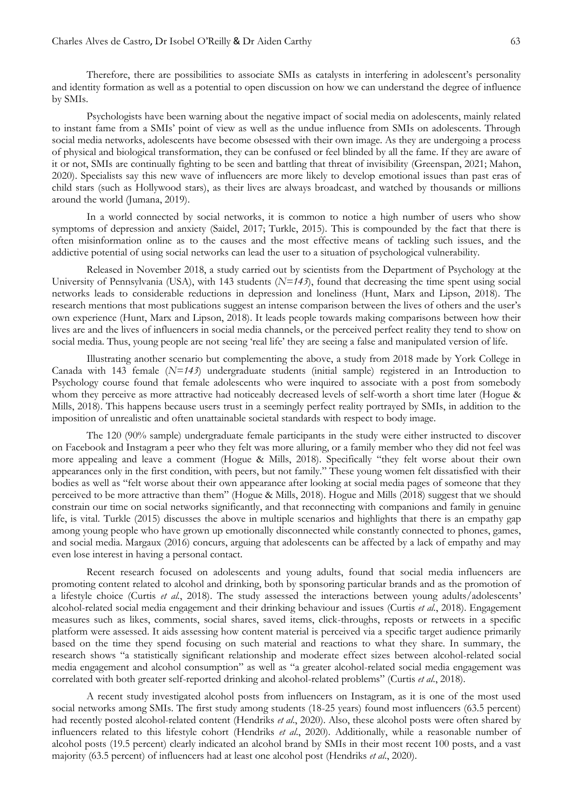Therefore, there are possibilities to associate SMIs as catalysts in interfering in adolescent's personality and identity formation as well as a potential to open discussion on how we can understand the degree of influence by SMIs.

Psychologists have been warning about the negative impact of social media on adolescents, mainly related to instant fame from a SMIs' point of view as well as the undue influence from SMIs on adolescents. Through social media networks, adolescents have become obsessed with their own image. As they are undergoing a process of physical and biological transformation, they can be confused or feel blinded by all the fame. If they are aware of it or not, SMIs are continually fighting to be seen and battling that threat of invisibility (Greenspan, 2021; Mahon, 2020). Specialists say this new wave of influencers are more likely to develop emotional issues than past eras of child stars (such as Hollywood stars), as their lives are always broadcast, and watched by thousands or millions around the world (Jumana, 2019).

In a world connected by social networks, it is common to notice a high number of users who show symptoms of depression and anxiety (Saidel, 2017; Turkle, 2015). This is compounded by the fact that there is often misinformation online as to the causes and the most effective means of tackling such issues, and the addictive potential of using social networks can lead the user to a situation of psychological vulnerability.

Released in November 2018, a study carried out by scientists from the Department of Psychology at the University of Pennsylvania (USA), with 143 students (*N=143*), found that decreasing the time spent using social networks leads to considerable reductions in depression and loneliness (Hunt, Marx and Lipson, 2018). The research mentions that most publications suggest an intense comparison between the lives of others and the user's own experience (Hunt, Marx and Lipson, 2018). It leads people towards making comparisons between how their lives are and the lives of influencers in social media channels, or the perceived perfect reality they tend to show on social media. Thus, young people are not seeing 'real life' they are seeing a false and manipulated version of life.

Illustrating another scenario but complementing the above, a study from 2018 made by York College in Canada with 143 female (*N=143*) undergraduate students (initial sample) registered in an Introduction to Psychology course found that female adolescents who were inquired to associate with a post from somebody whom they perceive as more attractive had noticeably decreased levels of self-worth a short time later (Hogue & Mills, 2018). This happens because users trust in a seemingly perfect reality portrayed by SMIs, in addition to the imposition of unrealistic and often unattainable societal standards with respect to body image.

The 120 (90% sample) undergraduate female participants in the study were either instructed to discover on Facebook and Instagram a peer who they felt was more alluring, or a family member who they did not feel was more appealing and leave a comment (Hogue & Mills, 2018). Specifically "they felt worse about their own appearances only in the first condition, with peers, but not family." These young women felt dissatisfied with their bodies as well as "felt worse about their own appearance after looking at social media pages of someone that they perceived to be more attractive than them" (Hogue & Mills, 2018). Hogue and Mills (2018) suggest that we should constrain our time on social networks significantly, and that reconnecting with companions and family in genuine life, is vital. Turkle (2015) discusses the above in multiple scenarios and highlights that there is an empathy gap among young people who have grown up emotionally disconnected while constantly connected to phones, games, and social media. Margaux (2016) concurs, arguing that adolescents can be affected by a lack of empathy and may even lose interest in having a personal contact.

Recent research focused on adolescents and young adults, found that social media influencers are promoting content related to alcohol and drinking, both by sponsoring particular brands and as the promotion of a lifestyle choice (Curtis *et al.*, 2018). The study assessed the interactions between young adults/adolescents' alcohol-related social media engagement and their drinking behaviour and issues (Curtis *et al.*, 2018). Engagement measures such as likes, comments, social shares, saved items, click-throughs, reposts or retweets in a specific platform were assessed. It aids assessing how content material is perceived via a specific target audience primarily based on the time they spend focusing on such material and reactions to what they share. In summary, the research shows "a statistically significant relationship and moderate effect sizes between alcohol-related social media engagement and alcohol consumption" as well as "a greater alcohol-related social media engagement was correlated with both greater self-reported drinking and alcohol-related problems" (Curtis *et al.*, 2018).

A recent study investigated alcohol posts from influencers on Instagram, as it is one of the most used social networks among SMIs. The first study among students (18-25 years) found most influencers (63.5 percent) had recently posted alcohol-related content (Hendriks *et al*., 2020). Also, these alcohol posts were often shared by influencers related to this lifestyle cohort (Hendriks *et al*., 2020). Additionally, while a reasonable number of alcohol posts (19.5 percent) clearly indicated an alcohol brand by SMIs in their most recent 100 posts, and a vast majority (63.5 percent) of influencers had at least one alcohol post (Hendriks *et al*., 2020).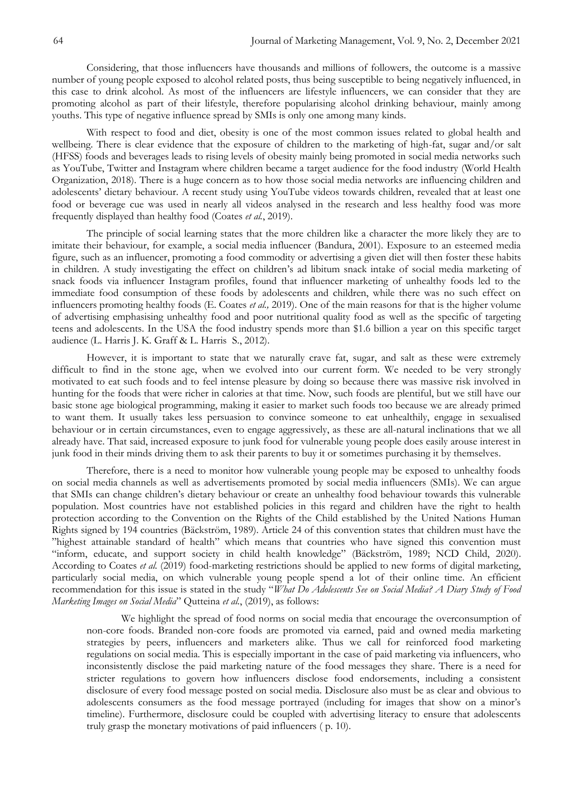Considering, that those influencers have thousands and millions of followers, the outcome is a massive number of young people exposed to alcohol related posts, thus being susceptible to being negatively influenced, in this case to drink alcohol. As most of the influencers are lifestyle influencers, we can consider that they are promoting alcohol as part of their lifestyle, therefore popularising alcohol drinking behaviour, mainly among youths. This type of negative influence spread by SMIs is only one among many kinds.

With respect to food and diet, obesity is one of the most common issues related to global health and wellbeing. There is clear evidence that the exposure of children to the marketing of high-fat, sugar and/or salt (HFSS) foods and beverages leads to rising levels of obesity mainly being promoted in social media networks such as YouTube, Twitter and Instagram where children became a target audience for the food industry (World Health Organization, 2018). There is a huge concern as to how those social media networks are influencing children and adolescents' dietary behaviour. A recent study using YouTube videos towards children, revealed that at least one food or beverage cue was used in nearly all videos analysed in the research and less healthy food was more frequently displayed than healthy food (Coates *et al.*, 2019).

The principle of social learning states that the more children like a character the more likely they are to imitate their behaviour, for example, a social media influencer (Bandura, 2001). Exposure to an esteemed media figure, such as an influencer, promoting a food commodity or advertising a given diet will then foster these habits in children. A study investigating the effect on children's ad libitum snack intake of social media marketing of snack foods via influencer Instagram profiles, found that influencer marketing of unhealthy foods led to the immediate food consumption of these foods by adolescents and children, while there was no such effect on influencers promoting healthy foods (E. Coates *et al.,* 2019). One of the main reasons for that is the higher volume of advertising emphasising unhealthy food and poor nutritional quality food as well as the specific of targeting teens and adolescents. In the USA the food industry spends more than \$1.6 billion a year on this specific target audience (L. Harris J. K. Graff & L. Harris S., 2012).

However, it is important to state that we naturally crave fat, sugar, and salt as these were extremely difficult to find in the stone age, when we evolved into our current form. We needed to be very strongly motivated to eat such foods and to feel intense pleasure by doing so because there was massive risk involved in hunting for the foods that were richer in calories at that time. Now, such foods are plentiful, but we still have our basic stone age biological programming, making it easier to market such foods too because we are already primed to want them. It usually takes less persuasion to convince someone to eat unhealthily, engage in sexualised behaviour or in certain circumstances, even to engage aggressively, as these are all-natural inclinations that we all already have. That said, increased exposure to junk food for vulnerable young people does easily arouse interest in junk food in their minds driving them to ask their parents to buy it or sometimes purchasing it by themselves.

Therefore, there is a need to monitor how vulnerable young people may be exposed to unhealthy foods on social media channels as well as advertisements promoted by social media influencers (SMIs). We can argue that SMIs can change children's dietary behaviour or create an unhealthy food behaviour towards this vulnerable population. Most countries have not established policies in this regard and children have the right to health protection according to the Convention on the Rights of the Child established by the United Nations Human Rights signed by 194 countries (Bäckström, 1989). Article 24 of this convention states that children must have the "highest attainable standard of health" which means that countries who have signed this convention must ―inform, educate, and support society in child health knowledge‖ (Bäckström, 1989; NCD Child, 2020). According to Coates *et al.* (2019) food-marketing restrictions should be applied to new forms of digital marketing, particularly social media, on which vulnerable young people spend a lot of their online time. An efficient recommendation for this issue is stated in the study "What Do Adolescents See on Social Media? A Diary Study of Food *Marketing Images on Social Media*" Qutteina *et al.*, (2019), as follows:

We highlight the spread of food norms on social media that encourage the overconsumption of non-core foods. Branded non-core foods are promoted via earned, paid and owned media marketing strategies by peers, influencers and marketers alike. Thus we call for reinforced food marketing regulations on social media. This is especially important in the case of paid marketing via influencers, who inconsistently disclose the paid marketing nature of the food messages they share. There is a need for stricter regulations to govern how influencers disclose food endorsements, including a consistent disclosure of every food message posted on social media. Disclosure also must be as clear and obvious to adolescents consumers as the food message portrayed (including for images that show on a minor's timeline). Furthermore, disclosure could be coupled with advertising literacy to ensure that adolescents truly grasp the monetary motivations of paid influencers ( p. 10).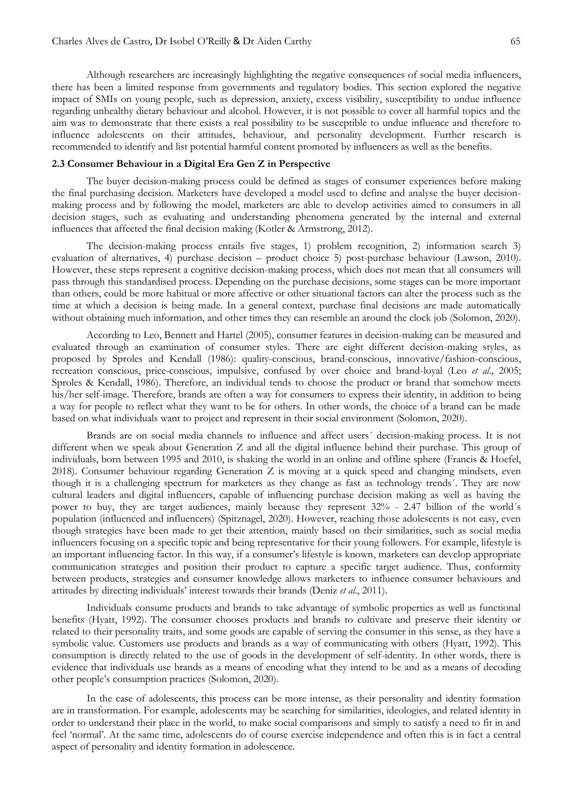Although researchers are increasingly highlighting the negative consequences of social media influencers, there has been a limited response from governments and regulatory bodies. This section explored the negative impact of SMIs on young people, such as depression, anxiety, excess visibility, susceptibility to undue influence regarding unhealthy dietary behaviour and alcohol. However, it is not possible to cover all harmful topics and the aim was to demonstrate that there exists a real possibility to be susceptible to undue influence and therefore to influence adolescents on their attitudes, behaviour, and personality development. Further research is recommended to identify and list potential harmful content promoted by influencers as well as the benefits.

#### **2.3 Consumer Behaviour in a Digital Era Gen Z in Perspective**

The buyer decision-making process could be defined as stages of consumer experiences before making the final purchasing decision. Marketers have developed a model used to define and analyse the buyer decisionmaking process and by following the model, marketers are able to develop activities aimed to consumers in all decision stages, such as evaluating and understanding phenomena generated by the internal and external influences that affected the final decision making (Kotler & Armstrong, 2012).

The decision-making process entails five stages, 1) problem recognition, 2) information search 3) evaluation of alternatives, 4) purchase decision – product choice 5) post-purchase behaviour (Lawson, 2010). However, these steps represent a cognitive decision-making process, which does not mean that all consumers will pass through this standardised process. Depending on the purchase decisions, some stages can be more important than others, could be more habitual or more affective or other situational factors can alter the process such as the time at which a decision is being made. In a general context, purchase final decisions are made automatically without obtaining much information, and other times they can resemble an around the clock job (Solomon, 2020).

According to Leo, Bennett and Hartel (2005), consumer features in decision-making can be measured and evaluated through an examination of consumer styles. There are eight different decision-making styles, as proposed by Sproles and Kendall (1986): quality-conscious, brand-conscious, innovative/fashion-conscious, recreation conscious, price-conscious, impulsive, confused by over choice and brand-loyal (Leo *et al*., 2005; Sproles & Kendall, 1986). Therefore, an individual tends to choose the product or brand that somehow meets his/her self-image. Therefore, brands are often a way for consumers to express their identity, in addition to being a way for people to reflect what they want to be for others. In other words, the choice of a brand can be made based on what individuals want to project and represent in their social environment (Solomon, 2020).

Brands are on social media channels to influence and affect users´ decision-making process. It is not different when we speak about Generation Z and all the digital influence behind their purchase. This group of individuals, born between 1995 and 2010, is shaking the world in an online and offline sphere (Francis & Hoefel, 2018). Consumer behaviour regarding Generation Z is moving at a quick speed and changing mindsets, even though it is a challenging spectrum for marketers as they change as fast as technology trends´. They are now cultural leaders and digital influencers, capable of influencing purchase decision making as well as having the power to buy, they are target audiences, mainly because they represent 32% - 2.47 billion of the world´s population (influenced and influencers) (Spitznagel, 2020). However, reaching those adolescents is not easy, even though strategies have been made to get their attention, mainly based on their similarities, such as social media influencers focusing on a specific topic and being representative for their young followers. For example, lifestyle is an important influencing factor. In this way, if a consumer's lifestyle is known, marketers can develop appropriate communication strategies and position their product to capture a specific target audience. Thus, conformity between products, strategies and consumer knowledge allows marketers to influence consumer behaviours and attitudes by directing individuals' interest towards their brands (Deniz *et al*., 2011).

Individuals consume products and brands to take advantage of symbolic properties as well as functional benefits (Hyatt, 1992). The consumer chooses products and brands to cultivate and preserve their identity or related to their personality traits, and some goods are capable of serving the consumer in this sense, as they have a symbolic value. Customers use products and brands as a way of communicating with others (Hyatt, 1992). This consumption is directly related to the use of goods in the development of self-identity. In other words, there is evidence that individuals use brands as a means of encoding what they intend to be and as a means of decoding other people's consumption practices (Solomon, 2020).

In the case of adolescents, this process can be more intense, as their personality and identity formation are in transformation. For example, adolescents may be searching for similarities, ideologies, and related identity in order to understand their place in the world, to make social comparisons and simply to satisfy a need to fit in and feel 'normal'. At the same time, adolescents do of course exercise independence and often this is in fact a central aspect of personality and identity formation in adolescence.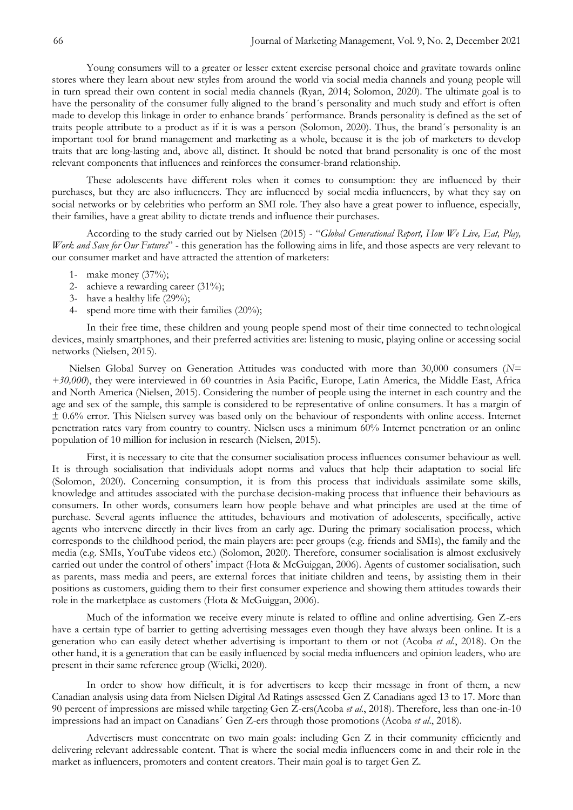Young consumers will to a greater or lesser extent exercise personal choice and gravitate towards online stores where they learn about new styles from around the world via social media channels and young people will in turn spread their own content in social media channels (Ryan, 2014; Solomon, 2020). The ultimate goal is to have the personality of the consumer fully aligned to the brand´s personality and much study and effort is often made to develop this linkage in order to enhance brands´ performance. Brands personality is defined as the set of traits people attribute to a product as if it is was a person (Solomon, 2020). Thus, the brand´s personality is an important tool for brand management and marketing as a whole, because it is the job of marketers to develop traits that are long-lasting and, above all, distinct. It should be noted that brand personality is one of the most relevant components that influences and reinforces the consumer-brand relationship.

These adolescents have different roles when it comes to consumption: they are influenced by their purchases, but they are also influencers. They are influenced by social media influencers, by what they say on social networks or by celebrities who perform an SMI role. They also have a great power to influence, especially, their families, have a great ability to dictate trends and influence their purchases.

According to the study carried out by Nielsen (2015) - "Global Generational Report, How We Live, Eat, Play, *Work and Save for Our Futures*" - this generation has the following aims in life, and those aspects are very relevant to our consumer market and have attracted the attention of marketers:

- 1- make money (37%);
- 2- achieve a rewarding career (31%);
- 3- have a healthy life (29%);
- 4- spend more time with their families (20%);

In their free time, these children and young people spend most of their time connected to technological devices, mainly smartphones, and their preferred activities are: listening to music, playing online or accessing social networks (Nielsen, 2015).

Nielsen Global Survey on Generation Attitudes was conducted with more than 30,000 consumers (*N= +30,000*), they were interviewed in 60 countries in Asia Pacific, Europe, Latin America, the Middle East, Africa and North America (Nielsen, 2015). Considering the number of people using the internet in each country and the age and sex of the sample, this sample is considered to be representative of online consumers. It has a margin of ± 0.6% error. This Nielsen survey was based only on the behaviour of respondents with online access. Internet penetration rates vary from country to country. Nielsen uses a minimum 60% Internet penetration or an online population of 10 million for inclusion in research (Nielsen, 2015).

First, it is necessary to cite that the consumer socialisation process influences consumer behaviour as well. It is through socialisation that individuals adopt norms and values that help their adaptation to social life (Solomon, 2020). Concerning consumption, it is from this process that individuals assimilate some skills, knowledge and attitudes associated with the purchase decision-making process that influence their behaviours as consumers. In other words, consumers learn how people behave and what principles are used at the time of purchase. Several agents influence the attitudes, behaviours and motivation of adolescents, specifically, active agents who intervene directly in their lives from an early age. During the primary socialisation process, which corresponds to the childhood period, the main players are: peer groups (e.g. friends and SMIs), the family and the media (e.g. SMIs, YouTube videos etc.) (Solomon, 2020). Therefore, consumer socialisation is almost exclusively carried out under the control of others' impact (Hota & McGuiggan, 2006). Agents of customer socialisation, such as parents, mass media and peers, are external forces that initiate children and teens, by assisting them in their positions as customers, guiding them to their first consumer experience and showing them attitudes towards their role in the marketplace as customers (Hota & McGuiggan, 2006).

Much of the information we receive every minute is related to offline and online advertising. Gen Z-ers have a certain type of barrier to getting advertising messages even though they have always been online. It is a generation who can easily detect whether advertising is important to them or not (Acoba *et al*., 2018). On the other hand, it is a generation that can be easily influenced by social media influencers and opinion leaders, who are present in their same reference group (Wielki, 2020).

In order to show how difficult, it is for advertisers to keep their message in front of them, a new Canadian analysis using data from Nielsen Digital Ad Ratings assessed Gen Z Canadians aged 13 to 17. More than 90 percent of impressions are missed while targeting Gen Z-ers(Acoba *et al.*, 2018). Therefore, less than one-in-10 impressions had an impact on Canadians´ Gen Z-ers through those promotions (Acoba *et al*., 2018).

Advertisers must concentrate on two main goals: including Gen Z in their community efficiently and delivering relevant addressable content. That is where the social media influencers come in and their role in the market as influencers, promoters and content creators. Their main goal is to target Gen Z.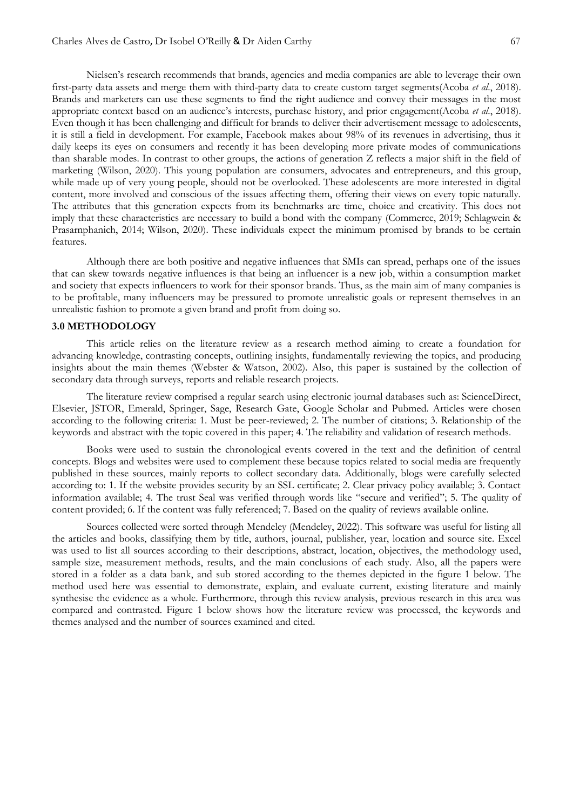Nielsen's research recommends that brands, agencies and media companies are able to leverage their own first-party data assets and merge them with third-party data to create custom target segments(Acoba *et al*., 2018). Brands and marketers can use these segments to find the right audience and convey their messages in the most appropriate context based on an audience's interests, purchase history, and prior engagement(Acoba *et al*., 2018). Even though it has been challenging and difficult for brands to deliver their advertisement message to adolescents, it is still a field in development. For example, Facebook makes about 98% of its revenues in advertising, thus it daily keeps its eyes on consumers and recently it has been developing more private modes of communications than sharable modes. In contrast to other groups, the actions of generation Z reflects a major shift in the field of marketing (Wilson, 2020). This young population are consumers, advocates and entrepreneurs, and this group, while made up of very young people, should not be overlooked. These adolescents are more interested in digital content, more involved and conscious of the issues affecting them, offering their views on every topic naturally. The attributes that this generation expects from its benchmarks are time, choice and creativity. This does not imply that these characteristics are necessary to build a bond with the company (Commerce, 2019; Schlagwein & Prasarnphanich, 2014; Wilson, 2020). These individuals expect the minimum promised by brands to be certain features.

Although there are both positive and negative influences that SMIs can spread, perhaps one of the issues that can skew towards negative influences is that being an influencer is a new job, within a consumption market and society that expects influencers to work for their sponsor brands. Thus, as the main aim of many companies is to be profitable, many influencers may be pressured to promote unrealistic goals or represent themselves in an unrealistic fashion to promote a given brand and profit from doing so.

### **3.0 METHODOLOGY**

This article relies on the literature review as a research method aiming to create a foundation for advancing knowledge, contrasting concepts, outlining insights, fundamentally reviewing the topics, and producing insights about the main themes (Webster & Watson, 2002). Also, this paper is sustained by the collection of secondary data through surveys, reports and reliable research projects.

The literature review comprised a regular search using electronic journal databases such as: ScienceDirect, Elsevier, JSTOR, Emerald, Springer, Sage, Research Gate, Google Scholar and Pubmed. Articles were chosen according to the following criteria: 1. Must be peer-reviewed; 2. The number of citations; 3. Relationship of the keywords and abstract with the topic covered in this paper; 4. The reliability and validation of research methods.

Books were used to sustain the chronological events covered in the text and the definition of central concepts. Blogs and websites were used to complement these because topics related to social media are frequently published in these sources, mainly reports to collect secondary data. Additionally, blogs were carefully selected according to: 1. If the website provides security by an SSL certificate; 2. Clear privacy policy available; 3. Contact information available; 4. The trust Seal was verified through words like "secure and verified"; 5. The quality of content provided; 6. If the content was fully referenced; 7. Based on the quality of reviews available online.

Sources collected were sorted through Mendeley (Mendeley, 2022). This software was useful for listing all the articles and books, classifying them by title, authors, journal, publisher, year, location and source site. Excel was used to list all sources according to their descriptions, abstract, location, objectives, the methodology used, sample size, measurement methods, results, and the main conclusions of each study. Also, all the papers were stored in a folder as a data bank, and sub stored according to the themes depicted in the figure 1 below. The method used here was essential to demonstrate, explain, and evaluate current, existing literature and mainly synthesise the evidence as a whole. Furthermore, through this review analysis, previous research in this area was compared and contrasted. Figure 1 below shows how the literature review was processed, the keywords and themes analysed and the number of sources examined and cited.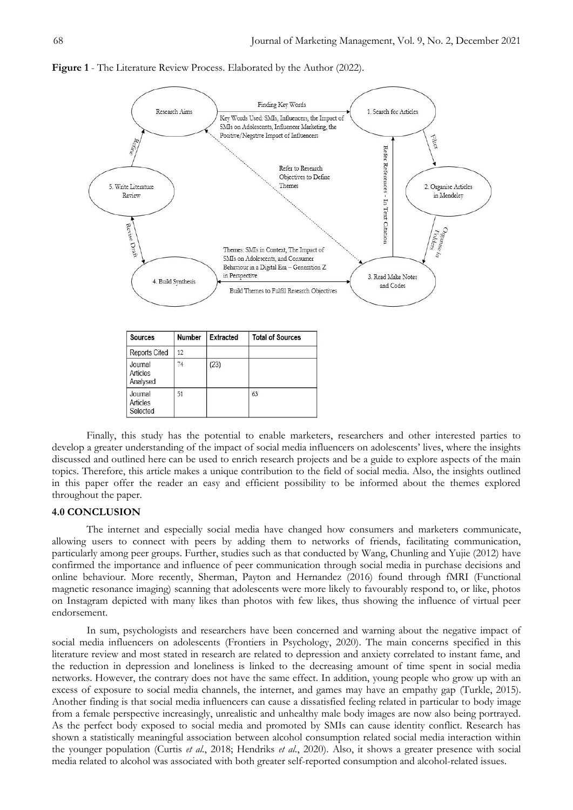

**Figure 1** - The Literature Review Process. Elaborated by the Author (2022).

Finally, this study has the potential to enable marketers, researchers and other interested parties to develop a greater understanding of the impact of social media influencers on adolescents' lives, where the insights discussed and outlined here can be used to enrich research projects and be a guide to explore aspects of the main topics. Therefore, this article makes a unique contribution to the field of social media. Also, the insights outlined in this paper offer the reader an easy and efficient possibility to be informed about the themes explored throughout the paper.

#### **4.0 CONCLUSION**

The internet and especially social media have changed how consumers and marketers communicate, allowing users to connect with peers by adding them to networks of friends, facilitating communication, particularly among peer groups. Further, studies such as that conducted by Wang, Chunling and Yujie (2012) have confirmed the importance and influence of peer communication through social media in purchase decisions and online behaviour. More recently, Sherman, Payton and Hernandez (2016) found through fMRI (Functional magnetic resonance imaging) scanning that adolescents were more likely to favourably respond to, or like, photos on Instagram depicted with many likes than photos with few likes, thus showing the influence of virtual peer endorsement.

In sum, psychologists and researchers have been concerned and warning about the negative impact of social media influencers on adolescents (Frontiers in Psychology, 2020). The main concerns specified in this literature review and most stated in research are related to depression and anxiety correlated to instant fame, and the reduction in depression and loneliness is linked to the decreasing amount of time spent in social media networks. However, the contrary does not have the same effect. In addition, young people who grow up with an excess of exposure to social media channels, the internet, and games may have an empathy gap (Turkle, 2015). Another finding is that social media influencers can cause a dissatisfied feeling related in particular to body image from a female perspective increasingly, unrealistic and unhealthy male body images are now also being portrayed. As the perfect body exposed to social media and promoted by SMIs can cause identity conflict. Research has shown a statistically meaningful association between alcohol consumption related social media interaction within the younger population (Curtis *et al.*, 2018; Hendriks *et al*., 2020). Also, it shows a greater presence with social media related to alcohol was associated with both greater self-reported consumption and alcohol-related issues.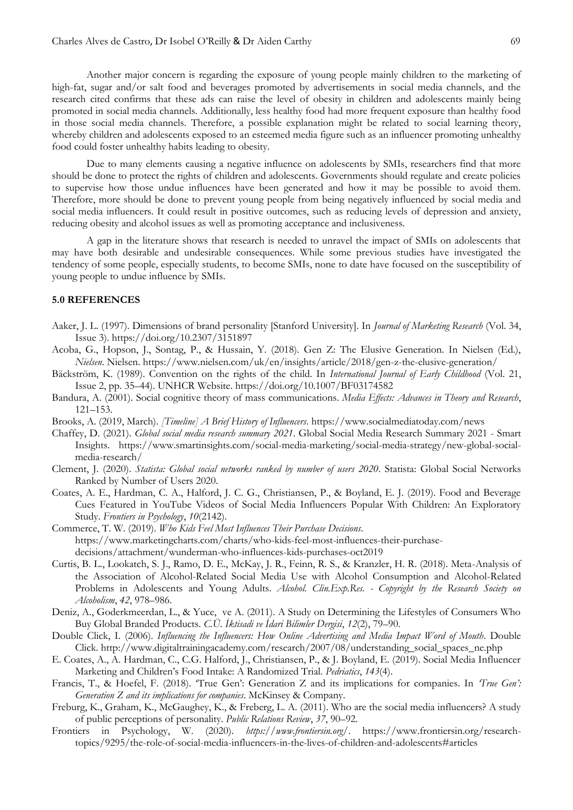Another major concern is regarding the exposure of young people mainly children to the marketing of high-fat, sugar and/or salt food and beverages promoted by advertisements in social media channels, and the research cited confirms that these ads can raise the level of obesity in children and adolescents mainly being promoted in social media channels. Additionally, less healthy food had more frequent exposure than healthy food in those social media channels. Therefore, a possible explanation might be related to social learning theory, whereby children and adolescents exposed to an esteemed media figure such as an influencer promoting unhealthy food could foster unhealthy habits leading to obesity.

Due to many elements causing a negative influence on adolescents by SMIs, researchers find that more should be done to protect the rights of children and adolescents. Governments should regulate and create policies to supervise how those undue influences have been generated and how it may be possible to avoid them. Therefore, more should be done to prevent young people from being negatively influenced by social media and social media influencers. It could result in positive outcomes, such as reducing levels of depression and anxiety, reducing obesity and alcohol issues as well as promoting acceptance and inclusiveness.

A gap in the literature shows that research is needed to unravel the impact of SMIs on adolescents that may have both desirable and undesirable consequences. While some previous studies have investigated the tendency of some people, especially students, to become SMIs, none to date have focused on the susceptibility of young people to undue influence by SMIs.

## **5.0 REFERENCES**

- Aaker, J. L. (1997). Dimensions of brand personality [Stanford University]. In *Journal of Marketing Research* (Vol. 34, Issue 3). https://doi.org/10.2307/3151897
- Acoba, G., Hopson, J., Sontag, P., & Hussain, Y. (2018). Gen Z: The Elusive Generation. In Nielsen (Ed.), *Nielsen*. Nielsen. https://www.nielsen.com/uk/en/insights/article/2018/gen-z-the-elusive-generation/
- Bäckström, K. (1989). Convention on the rights of the child. In *International Journal of Early Childhood* (Vol. 21, Issue 2, pp. 35–44). UNHCR Website. https://doi.org/10.1007/BF03174582
- Bandura, A. (2001). Social cognitive theory of mass communications. *Media Effects: Advances in Theory and Research*, 121–153.
- Brooks, A. (2019, March). *[Timeline] A Brief History of Influencers*. https://www.socialmediatoday.com/news
- Chaffey, D. (2021). *Global social media research summary 2021*. Global Social Media Research Summary 2021 Smart Insights. https://www.smartinsights.com/social-media-marketing/social-media-strategy/new-global-socialmedia-research/
- Clement, J. (2020). *Statista: Global social networks ranked by number of users 2020*. Statista: Global Social Networks Ranked by Number of Users 2020.
- Coates, A. E., Hardman, C. A., Halford, J. C. G., Christiansen, P., & Boyland, E. J. (2019). Food and Beverage Cues Featured in YouTube Videos of Social Media Influencers Popular With Children: An Exploratory Study. *Frontiers in Psychology*, *10*(2142).
- Commerce, T. W. (2019). *Who Kids Feel Most Influences Their Purchase Decisions*. https://www.marketingcharts.com/charts/who-kids-feel-most-influences-their-purchasedecisions/attachment/wunderman-who-influences-kids-purchases-oct2019
- Curtis, B. L., Lookatch, S. J., Ramo, D. E., McKay, J. R., Feinn, R. S., & Kranzler, H. R. (2018). Meta-Analysis of the Association of Alcohol-Related Social Media Use with Alcohol Consumption and Alcohol-Related Problems in Adolescents and Young Adults. *Alcohol. Clin.Exp.Res. - Copyright by the Research Society on Alcoholism*, *42*, 978–986.
- Deniz, A., Goderkmeerdan, L., & Yuce, ve A. (2011). A Study on Determining the Lifestyles of Consumers Who Buy Global Branded Products. *C.Ü. İktisadi ve İdari Bilimler Dergisi*, *12*(2), 79–90.
- Double Click, I. (2006). *Influencing the Influencers: How Online Advertising and Media Impact Word of Mouth*. Double Click. http://www.digitaltrainingacademy.com/research/2007/08/understanding\_social\_spaces\_ne.php
- E. Coates, A., A. Hardman, C., C.G. Halford, J., Christiansen, P., & J. Boyland, E. (2019). Social Media Influencer Marketing and Children's Food Intake: A Randomized Trial. *Pedriatics*, *143*(4).
- Francis, T., & Hoefel, F. (2018). ‗True Gen': Generation Z and its implications for companies. In *'True Gen': Generation Z and its implications for companies*. McKinsey & Company.
- Freburg, K., Graham, K., McGaughey, K., & Freberg, L. A. (2011). Who are the social media influencers? A study of public perceptions of personality. *Public Relations Review*, *37*, 90–92.
- Frontiers in Psychology, W. (2020). *https://www.frontiersin.org/*. https://www.frontiersin.org/researchtopics/9295/the-role-of-social-media-influencers-in-the-lives-of-children-and-adolescents#articles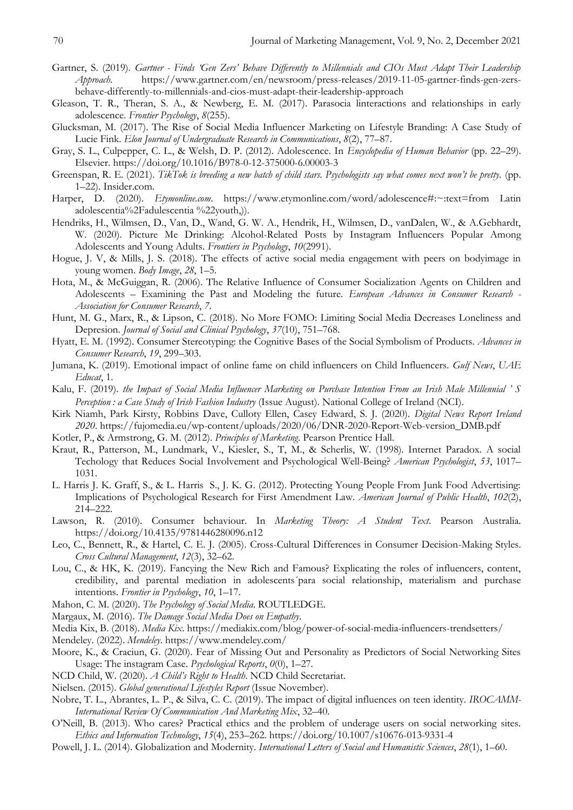- Gartner, S. (2019). *Gartner - Finds 'Gen Zers' Behave Differently to Millennials and CIOs Must Adapt Their Leadership Approach*. https://www.gartner.com/en/newsroom/press-releases/2019-11-05-gartner-finds-gen-zersbehave-differently-to-millennials-and-cios-must-adapt-their-leadership-approach
- Gleason, T. R., Theran, S. A., & Newberg, E. M. (2017). Parasocia linteractions and relationships in early adolescence. *Frontier Psychology*, *8*(255).
- Glucksman, M. (2017). The Rise of Social Media Influencer Marketing on Lifestyle Branding: A Case Study of Lucie Fink. *Elon Journal of Undergraduate Research in Communications*, *8*(2), 77–87.
- Gray, S. L., Culpepper, C. L., & Welsh, D. P. (2012). Adolescence. In *Encyclopedia of Human Behavior* (pp. 22–29). Elsevier. https://doi.org/10.1016/B978-0-12-375000-6.00003-3
- Greenspan, R. E. (2021). *TikTok is breeding a new batch of child stars. Psychologists say what comes next won't be pretty.* (pp. 1–22). Insider.com.
- Harper, D. (2020). *Etymonline.com*. https://www.etymonline.com/word/adolescence#:~:text=from Latin adolescentia%2Fadulescentia %22youth,)).
- Hendriks, H., Wilmsen, D., Van, D., Wand, G. W. A., Hendrik, H., Wilmsen, D., vanDalen, W., & A.Gebhardt, W. (2020). Picture Me Drinking: Alcohol-Related Posts by Instagram Influencers Popular Among Adolescents and Young Adults. *Frontiers in Psychology*, *10*(2991).
- Hogue, J. V, & Mills, J. S. (2018). The effects of active social media engagement with peers on bodyimage in young women. *Body Image*, *28*, 1–5.
- Hota, M., & McGuiggan, R. (2006). The Relative Influence of Consumer Socialization Agents on Children and Adolescents – Examining the Past and Modeling the future. *European Advances in Consumer Research - Association for Consumer Research*, *7*.
- Hunt, M. G., Marx, R., & Lipson, C. (2018). No More FOMO: Limiting Social Media Decreases Loneliness and Depresion. *Journal of Social and Clinical Psychology*, *37*(10), 751–768.
- Hyatt, E. M. (1992). Consumer Stereotyping: the Cognitive Bases of the Social Symbolism of Products. *Advances in Consumer Research*, *19*, 299–303.
- Jumana, K. (2019). Emotional impact of online fame on child influencers on Child Influencers. *Gulf News*, *UAE Educat*, 1.
- Kalu, F. (2019). *the Impact of Social Media Influencer Marketing on Purchase Intention From an Irish Male Millennial ' S Perception : a Case Study of Irish Fashion Industry* (Issue August). National College of Ireland (NCI).
- Kirk Niamh, Park Kirsty, Robbins Dave, Culloty Ellen, Casey Edward, S. J. (2020). *Digital News Report Ireland 2020*. https://fujomedia.eu/wp-content/uploads/2020/06/DNR-2020-Report-Web-version\_DMB.pdf
- Kotler, P., & Armstrong, G. M. (2012). *Principles of Marketing*. Pearson Prentice Hall.
- Kraut, R., Patterson, M., Lundmark, V., Kiesler, S., T, M., & Scherlis, W. (1998). Internet Paradox. A social Techology that Reduces Social Involvement and Psychological Well-Being? *American Psychologist*, *53*, 1017– 1031.
- L. Harris J. K. Graff, S., & L. Harris S., J. K. G. (2012). Protecting Young People From Junk Food Advertising: Implications of Psychological Research for First Amendment Law. *American Journal of Public Health*, *102*(2), 214–222.
- Lawson, R. (2010). Consumer behaviour. In *Marketing Theory: A Student Text*. Pearson Australia. https://doi.org/10.4135/9781446280096.n12
- Leo, C., Bennett, R., & Hartel, C. E. J. (2005). Cross-Cultural Differences in Consumer Decision-Making Styles. *Cross Cultural Management*, *12*(3), 32–62.
- Lou, C., & HK, K. (2019). Fancying the New Rich and Famous? Explicating the roles of influencers, content, credibility, and parental mediation in adolescents´para social relationship, materialism and purchase intentions. *Frontier in Psychology*, *10*, 1–17.
- Mahon, C. M. (2020). *The Psychology of Social Media*. ROUTLEDGE.
- Margaux, M. (2016). *The Damage Social Media Does on Empathy*.
- Media Kix, B. (2018). *Media Kix*. https://mediakix.com/blog/power-of-social-media-influencers-trendsetters/
- Mendeley. (2022). *Mendeley*. https://www.mendeley.com/
- Moore, K., & Craciun, G. (2020). Fear of Missing Out and Personality as Predictors of Social Networking Sites Usage: The instagram Case. *Psychological Reports*, *0*(0), 1–27.
- NCD Child, W. (2020). *A Child's Right to Health*. NCD Child Secretariat.
- Nielsen. (2015). *Global generational Lifestyles Report* (Issue November).
- Nobre, T. L., Abrantes, L. P., & Silva, C. C. (2019). The impact of digital influences on teen identity. *IROCAMM-International Review Of Communication And Marketing Mix*, 32–40.
- O'Neill, B. (2013). Who cares? Practical ethics and the problem of underage users on social networking sites. *Ethics and Information Technology*, *15*(4), 253–262. https://doi.org/10.1007/s10676-013-9331-4
- Powell, J. L. (2014). Globalization and Modernity. *International Letters of Social and Humanistic Sciences*, *28*(1), 1–60.